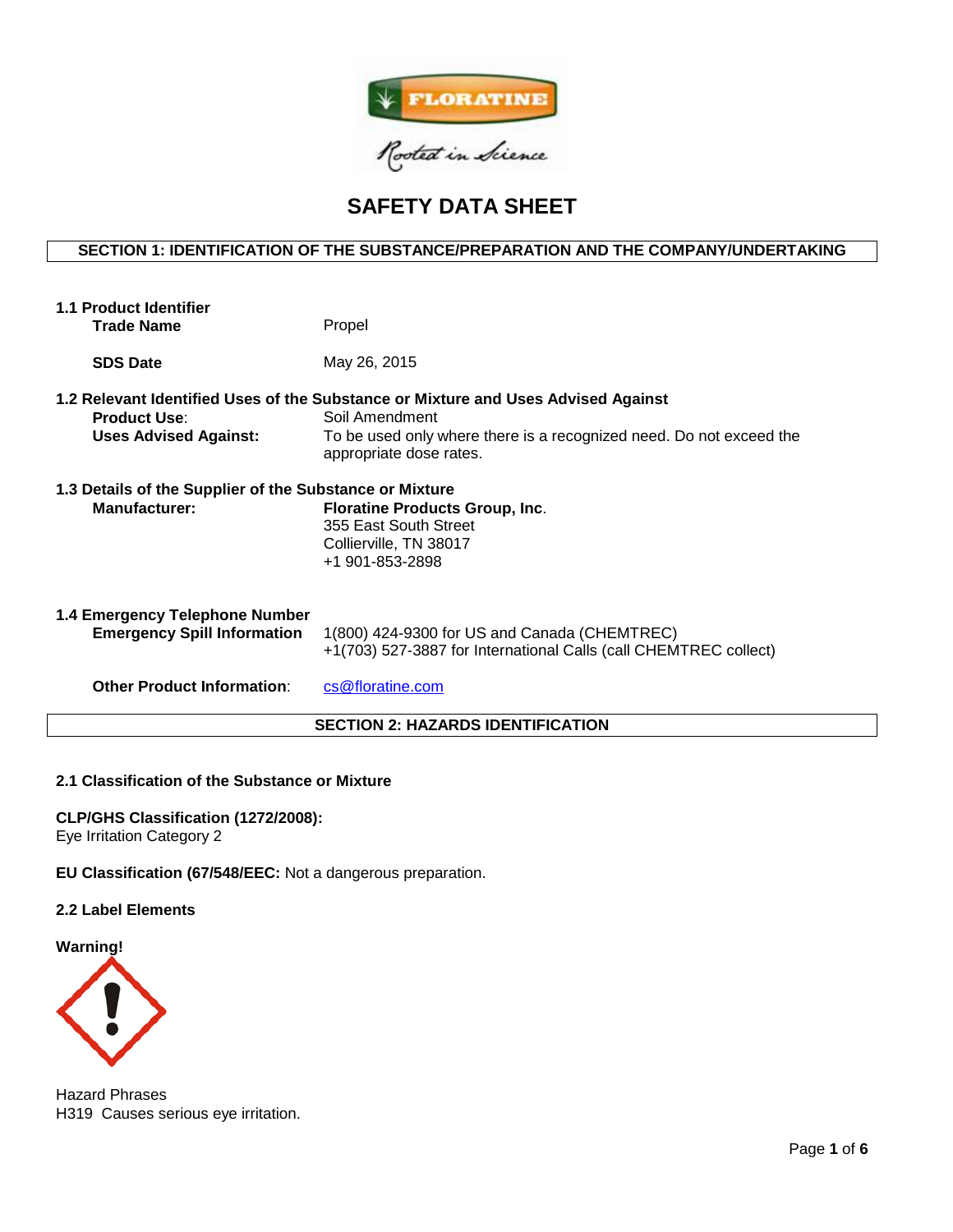

# **SAFETY DATA SHEET**

# **SECTION 1: IDENTIFICATION OF THE SUBSTANCE/PREPARATION AND THE COMPANY/UNDERTAKING**

| <b>1.1 Product Identifier</b><br><b>Trade Name</b>                              | Propel                                                                                                                                                                                                |  |  |  |
|---------------------------------------------------------------------------------|-------------------------------------------------------------------------------------------------------------------------------------------------------------------------------------------------------|--|--|--|
| <b>SDS Date</b>                                                                 | May 26, 2015                                                                                                                                                                                          |  |  |  |
| <b>Product Use:</b><br><b>Uses Advised Against:</b>                             | 1.2 Relevant Identified Uses of the Substance or Mixture and Uses Advised Against<br>Soil Amendment<br>To be used only where there is a recognized need. Do not exceed the<br>appropriate dose rates. |  |  |  |
| 1.3 Details of the Supplier of the Substance or Mixture<br><b>Manufacturer:</b> | <b>Floratine Products Group, Inc.</b><br>355 East South Street<br>Collierville, TN 38017<br>+1 901-853-2898                                                                                           |  |  |  |
| 1.4 Emergency Telephone Number<br><b>Emergency Spill Information</b>            | 1(800) 424-9300 for US and Canada (CHEMTREC)<br>+1(703) 527-3887 for International Calls (call CHEMTREC collect)                                                                                      |  |  |  |
| <b>Other Product Information:</b>                                               | cs@floratine.com                                                                                                                                                                                      |  |  |  |
| <b>SECTION 2: HAZARDS IDENTIFICATION</b>                                        |                                                                                                                                                                                                       |  |  |  |

#### **2.1 Classification of the Substance or Mixture**

**CLP/GHS Classification (1272/2008):**  Eye Irritation Category 2

**EU Classification (67/548/EEC:** Not a dangerous preparation.

### **2.2 Label Elements**

**Warning!**



Hazard Phrases H319 Causes serious eye irritation.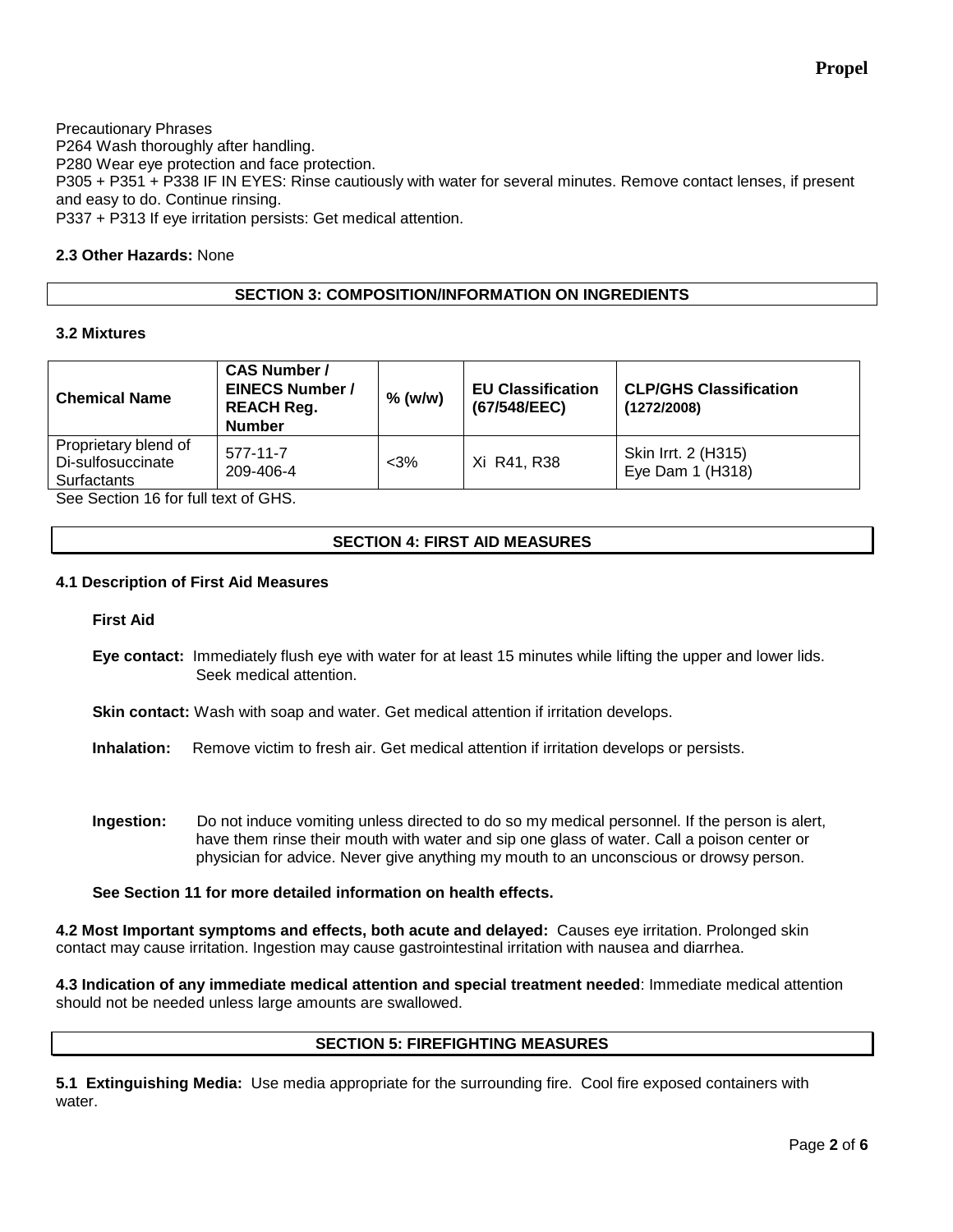**Propel**

Precautionary Phrases P264 Wash thoroughly after handling. P280 Wear eye protection and face protection. P305 + P351 + P338 IF IN EYES: Rinse cautiously with water for several minutes. Remove contact lenses, if present and easy to do. Continue rinsing. P337 + P313 If eye irritation persists: Get medical attention.

### **2.3 Other Hazards:** None

### **SECTION 3: COMPOSITION/INFORMATION ON INGREDIENTS**

### **3.2 Mixtures**

| <b>Chemical Name</b>                                     | <b>CAS Number /</b><br><b>EINECS Number /</b><br><b>REACH Reg.</b><br><b>Number</b> | $%$ (w/w) | <b>EU Classification</b><br>(67/548/EEC) | <b>CLP/GHS Classification</b><br>(1272/2008) |
|----------------------------------------------------------|-------------------------------------------------------------------------------------|-----------|------------------------------------------|----------------------------------------------|
| Proprietary blend of<br>Di-sulfosuccinate<br>Surfactants | $577 - 11 - 7$<br>209-406-4                                                         | $<3\%$    | Xi R41, R38                              | Skin Irrt. 2 (H315)<br>Eye Dam $1$ (H318)    |

See Section 16 for full text of GHS.

### **SECTION 4: FIRST AID MEASURES**

#### **4.1 Description of First Aid Measures**

**First Aid**

**Eye contact:** Immediately flush eye with water for at least 15 minutes while lifting the upper and lower lids. Seek medical attention.

**Skin contact:** Wash with soap and water. Get medical attention if irritation develops.

**Inhalation:** Remove victim to fresh air. Get medical attention if irritation develops or persists.

**Ingestion:** Do not induce vomiting unless directed to do so my medical personnel. If the person is alert, have them rinse their mouth with water and sip one glass of water. Call a poison center or physician for advice. Never give anything my mouth to an unconscious or drowsy person.

### **See Section 11 for more detailed information on health effects.**

**4.2 Most Important symptoms and effects, both acute and delayed:** Causes eye irritation. Prolonged skin contact may cause irritation. Ingestion may cause gastrointestinal irritation with nausea and diarrhea.

**4.3 Indication of any immediate medical attention and special treatment needed**: Immediate medical attention should not be needed unless large amounts are swallowed.

## **SECTION 5: FIREFIGHTING MEASURES**

**5.1 Extinguishing Media:** Use media appropriate for the surrounding fire. Cool fire exposed containers with water.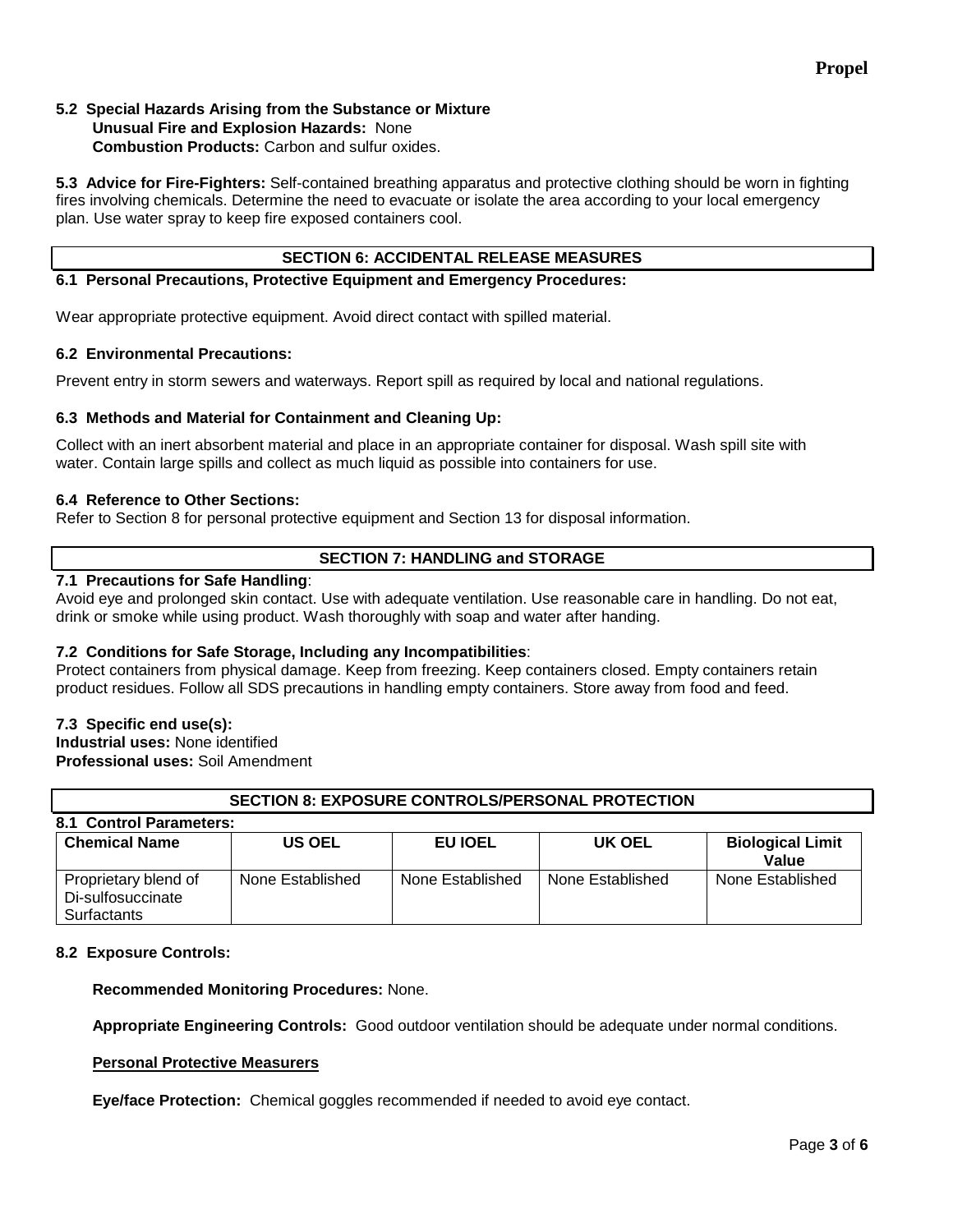# **Propel**

#### **5.2 Special Hazards Arising from the Substance or Mixture Unusual Fire and Explosion Hazards:** None **Combustion Products:** Carbon and sulfur oxides.

**5.3 Advice for Fire-Fighters:** Self-contained breathing apparatus and protective clothing should be worn in fighting fires involving chemicals. Determine the need to evacuate or isolate the area according to your local emergency plan. Use water spray to keep fire exposed containers cool.

### **6.1 Personal Precautions, Protective Equipment and Emergency Procedures:**

Wear appropriate protective equipment. Avoid direct contact with spilled material.

### **6.2 Environmental Precautions:**

Prevent entry in storm sewers and waterways. Report spill as required by local and national regulations.

### **6.3 Methods and Material for Containment and Cleaning Up:**

Collect with an inert absorbent material and place in an appropriate container for disposal. Wash spill site with water. Contain large spills and collect as much liquid as possible into containers for use.

#### **6.4 Reference to Other Sections:**

Refer to Section 8 for personal protective equipment and Section 13 for disposal information.

### **SECTION 7: HANDLING and STORAGE**

#### **7.1 Precautions for Safe Handling**:

Avoid eye and prolonged skin contact. Use with adequate ventilation. Use reasonable care in handling. Do not eat, drink or smoke while using product. Wash thoroughly with soap and water after handing.

### **7.2 Conditions for Safe Storage, Including any Incompatibilities**:

Protect containers from physical damage. Keep from freezing. Keep containers closed. Empty containers retain product residues. Follow all SDS precautions in handling empty containers. Store away from food and feed.

### **7.3 Specific end use(s):**

**Industrial uses:** None identified **Professional uses:** Soil Amendment

| <b>SECTION 8: EXPOSURE CONTROLS/PERSONAL PROTECTION</b>  |                  |                  |                  |                                  |  |  |  |  |
|----------------------------------------------------------|------------------|------------------|------------------|----------------------------------|--|--|--|--|
| 8.1 Control Parameters:                                  |                  |                  |                  |                                  |  |  |  |  |
| <b>Chemical Name</b>                                     | <b>US OEL</b>    | EU IOEL          | UK OEL           | <b>Biological Limit</b><br>Value |  |  |  |  |
| Proprietary blend of<br>Di-sulfosuccinate<br>Surfactants | None Established | None Established | None Established | None Established                 |  |  |  |  |

#### **8.2 Exposure Controls:**

**Recommended Monitoring Procedures:** None.

**Appropriate Engineering Controls:** Good outdoor ventilation should be adequate under normal conditions.

#### **Personal Protective Measurers**

**Eye/face Protection:** Chemical goggles recommended if needed to avoid eye contact.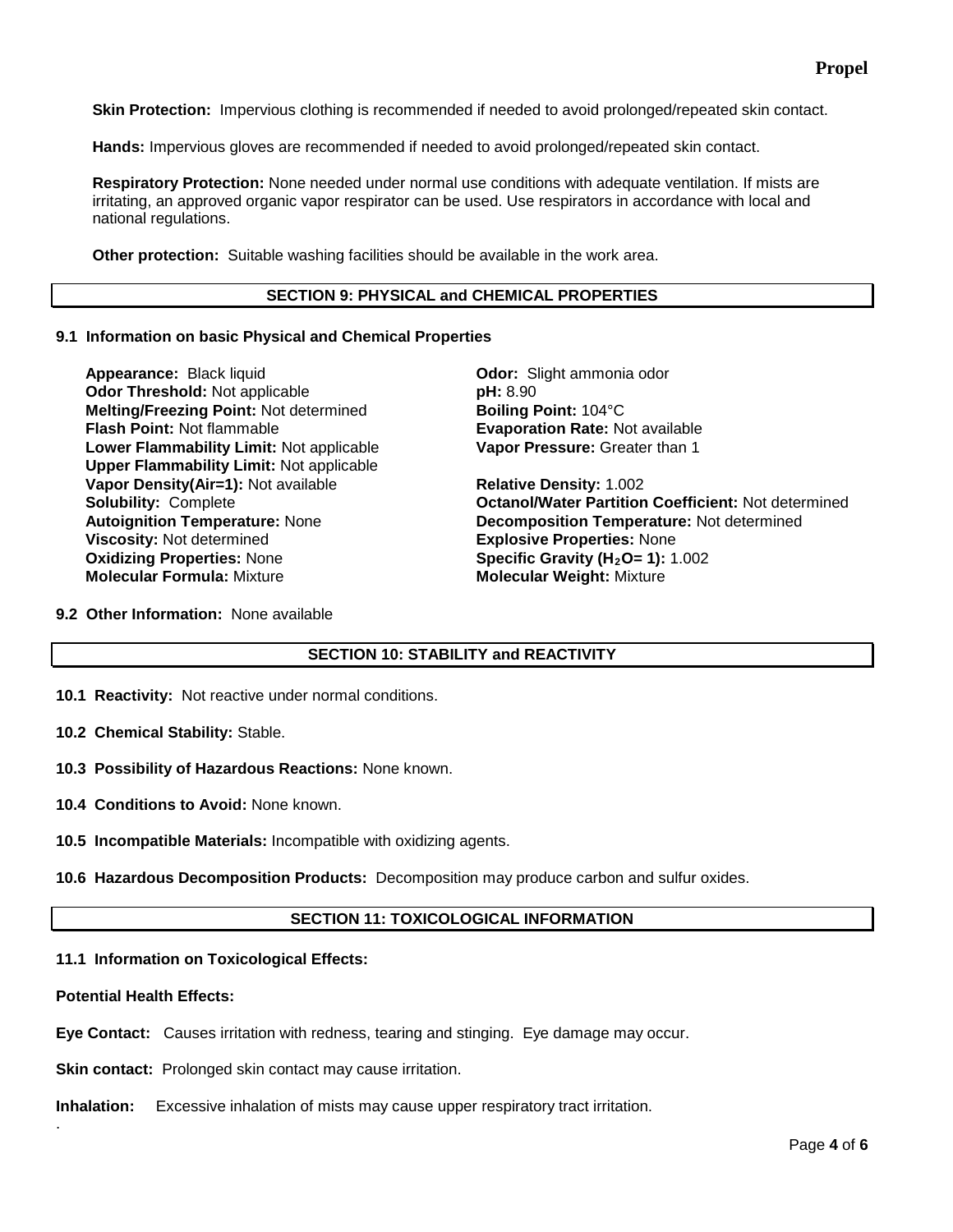**Skin Protection:** Impervious clothing is recommended if needed to avoid prolonged/repeated skin contact.

**Hands:** Impervious gloves are recommended if needed to avoid prolonged/repeated skin contact.

**Respiratory Protection:** None needed under normal use conditions with adequate ventilation. If mists are irritating, an approved organic vapor respirator can be used. Use respirators in accordance with local and national regulations.

**Other protection:** Suitable washing facilities should be available in the work area.

#### **SECTION 9: PHYSICAL and CHEMICAL PROPERTIES**

#### **9.1 Information on basic Physical and Chemical Properties**

**Appearance:** Black liquid **Calcul Control of Control Control Control Control Control Odor: Slight ammonia odor<br>
<b>Odor Threshold:** Not applicable **Control Control Control of Prices Odor Threshold:** Not applicable **but and pulled as pH: 8.90**<br> **Melting/Freezing Point:** Not determined **but Boiling Point:** 104°C **Melting/Freezing Point: Not determined Flash Point: Not flammable** *Boint***: <b>Boint: Point Lower Flammability Limit:** Not applicable **Upper Flammability Limit:** Not applicable **Vapor Density(Air=1):** Not available **Relative Density:** 1.002 **Oxidizing Properties:** None **Specific Gravity (H<sub>2</sub>O= 1):** 1.002<br> **Molecular Formula:** Mixture **Specific Gravity (H2O= 1): Molecular Weight:** Mixture

**Evaporation Rate: Not available Vapor Pressure:** Greater than 1

**Solubility:** Complete **Octanol/Water Partition Coefficient:** Not determined **Autoignition Temperature:** Not determined **Autoignition Temperature:** Not determined **Autoignition Temperature:** None **Decomposition Temperature:** Not determined **Explosive Properties: None Molecular Weight: Mixture** 

**9.2 Other Information:** None available

### **SECTION 10: STABILITY and REACTIVITY**

- **10.1 Reactivity:** Not reactive under normal conditions.
- **10.2 Chemical Stability:** Stable.
- **10.3 Possibility of Hazardous Reactions:** None known.
- **10.4 Conditions to Avoid:** None known.
- **10.5 Incompatible Materials:** Incompatible with oxidizing agents.
- **10.6 Hazardous Decomposition Products:** Decomposition may produce carbon and sulfur oxides.

### **SECTION 11: TOXICOLOGICAL INFORMATION**

### **11.1 Information on Toxicological Effects:**

#### **Potential Health Effects:**

.

**Eye Contact:** Causes irritation with redness, tearing and stinging. Eye damage may occur.

**Skin contact:** Prolonged skin contact may cause irritation.

**Inhalation:** Excessive inhalation of mists may cause upper respiratory tract irritation.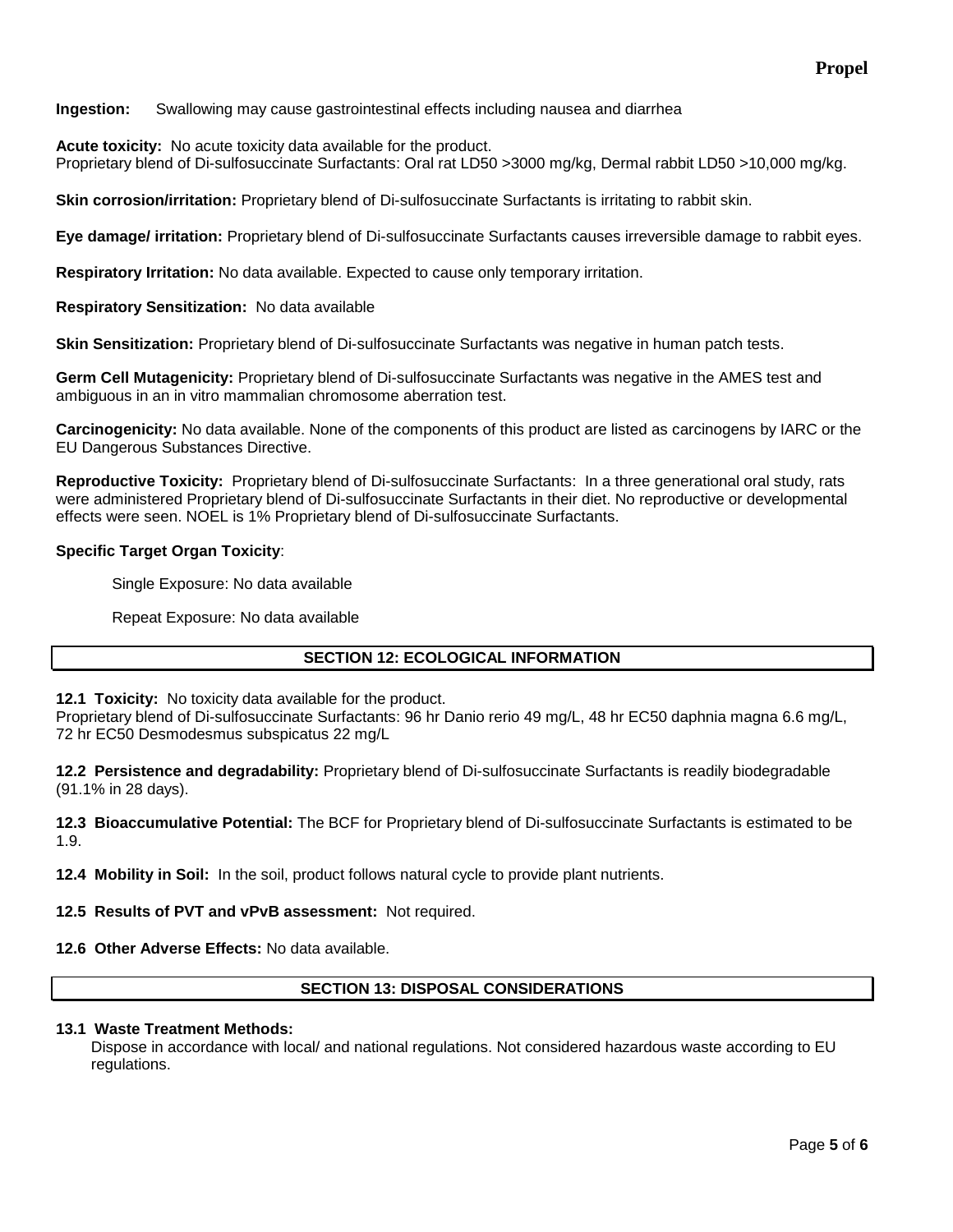**Ingestion:** Swallowing may cause gastrointestinal effects including nausea and diarrhea

**Acute toxicity:** No acute toxicity data available for the product.

Proprietary blend of Di-sulfosuccinate Surfactants: Oral rat LD50 >3000 mg/kg, Dermal rabbit LD50 >10,000 mg/kg.

**Skin corrosion/irritation:** Proprietary blend of Di-sulfosuccinate Surfactants is irritating to rabbit skin.

**Eye damage/ irritation:** Proprietary blend of Di-sulfosuccinate Surfactants causes irreversible damage to rabbit eyes.

**Respiratory Irritation:** No data available. Expected to cause only temporary irritation.

**Respiratory Sensitization:** No data available

**Skin Sensitization:** Proprietary blend of Di-sulfosuccinate Surfactants was negative in human patch tests.

**Germ Cell Mutagenicity:** Proprietary blend of Di-sulfosuccinate Surfactants was negative in the AMES test and ambiguous in an in vitro mammalian chromosome aberration test.

**Carcinogenicity:** No data available. None of the components of this product are listed as carcinogens by IARC or the EU Dangerous Substances Directive.

**Reproductive Toxicity:** Proprietary blend of Di-sulfosuccinate Surfactants: In a three generational oral study, rats were administered Proprietary blend of Di-sulfosuccinate Surfactants in their diet. No reproductive or developmental effects were seen. NOEL is 1% Proprietary blend of Di-sulfosuccinate Surfactants.

### **Specific Target Organ Toxicity**:

Single Exposure: No data available

Repeat Exposure: No data available

### **SECTION 12: ECOLOGICAL INFORMATION**

**12.1 Toxicity:** No toxicity data available for the product.

Proprietary blend of Di-sulfosuccinate Surfactants: 96 hr Danio rerio 49 mg/L, 48 hr EC50 daphnia magna 6.6 mg/L, 72 hr EC50 Desmodesmus subspicatus 22 mg/L

**12.2 Persistence and degradability:** Proprietary blend of Di-sulfosuccinate Surfactants is readily biodegradable (91.1% in 28 days).

**12.3 Bioaccumulative Potential:** The BCF for Proprietary blend of Di-sulfosuccinate Surfactants is estimated to be 1.9.

**12.4 Mobility in Soil:** In the soil, product follows natural cycle to provide plant nutrients.

**12.5 Results of PVT and vPvB assessment:** Not required.

**12.6 Other Adverse Effects:** No data available.

### **SECTION 13: DISPOSAL CONSIDERATIONS**

### **13.1 Waste Treatment Methods:**

Dispose in accordance with local/ and national regulations. Not considered hazardous waste according to EU regulations.